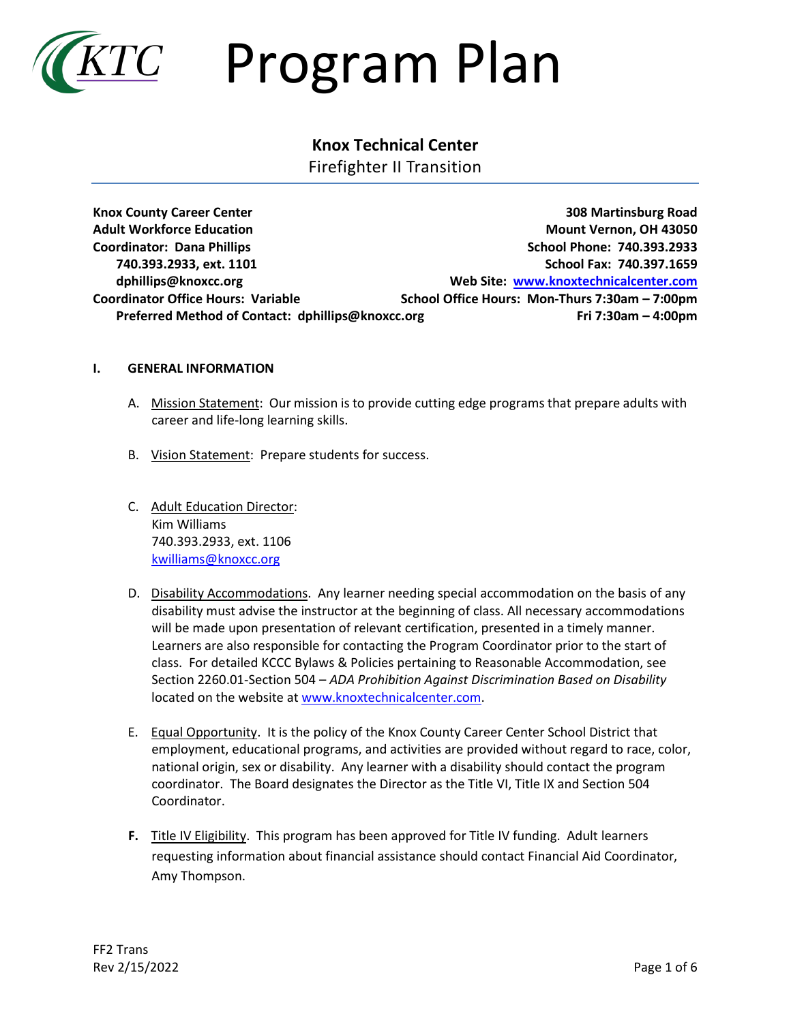

### $TC$  Program Plan

### **Knox Technical Center**

Firefighter II Transition

**Knox County Career Center 308 Martinsburg Road Adult Workforce Education Mount Vernon, OH 43050 Coordinator:** Dana Phillips **School Phone: 740.393.2933 740.393.2933, ext. 1101 School Fax: 740.397.1659 dphillips@knoxcc.org Web Site: [www.knoxtechnicalcenter.com](http://www.knoxtechnicalcenter.com/) Coordinator Office Hours: Variable School Office Hours: Mon-Thurs 7:30am – 7:00pm Preferred Method of Contact: dphillips@knoxcc.org Fri 7:30am – 4:00pm**

### **I. GENERAL INFORMATION**

- A. Mission Statement: Our mission is to provide cutting edge programs that prepare adults with career and life-long learning skills.
- B. Vision Statement: Prepare students for success.
- C. Adult Education Director: Kim Williams 740.393.2933, ext. 1106 [kwilliams@knoxcc.org](mailto:kwilliams@knoxcc.org)
- D. Disability Accommodations. Any learner needing special accommodation on the basis of any disability must advise the instructor at the beginning of class. All necessary accommodations will be made upon presentation of relevant certification, presented in a timely manner. Learners are also responsible for contacting the Program Coordinator prior to the start of class. For detailed KCCC Bylaws & Policies pertaining to Reasonable Accommodation, see Section 2260.01-Section 504 – *ADA Prohibition Against Discrimination Based on Disability* located on the website a[t www.knoxtechnicalcenter.com.](http://www.knoxtechnicalcenter.com/)
- E. Equal Opportunity. It is the policy of the Knox County Career Center School District that employment, educational programs, and activities are provided without regard to race, color, national origin, sex or disability. Any learner with a disability should contact the program coordinator. The Board designates the Director as the Title VI, Title IX and Section 504 Coordinator.
- **F.** Title IV Eligibility. This program has been approved for Title IV funding. Adult learners requesting information about financial assistance should contact Financial Aid Coordinator, Amy Thompson.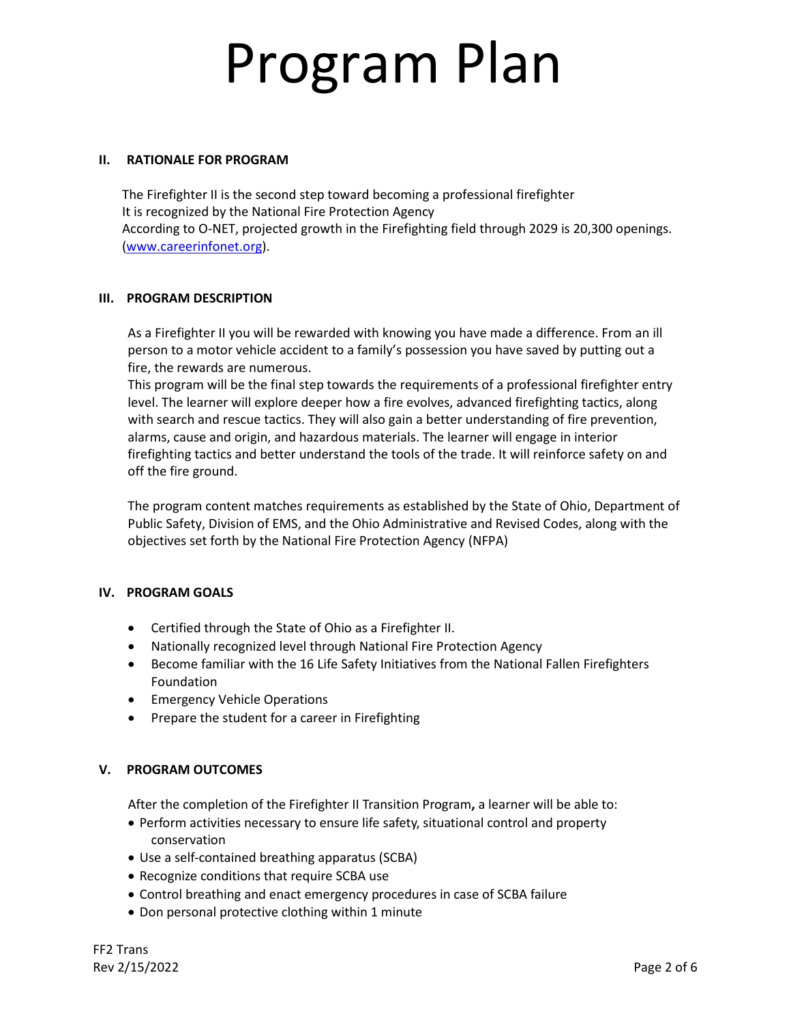### **II. RATIONALE FOR PROGRAM**

The Firefighter II is the second step toward becoming a professional firefighter It is recognized by the National Fire Protection Agency According to O-NET, projected growth in the Firefighting field through 2029 is 20,300 openings. [\(www.careerinfonet.org\)](http://www.careerinfonet.org/).

#### **III. PROGRAM DESCRIPTION**

As a Firefighter II you will be rewarded with knowing you have made a difference. From an ill person to a motor vehicle accident to a family's possession you have saved by putting out a fire, the rewards are numerous.

This program will be the final step towards the requirements of a professional firefighter entry level. The learner will explore deeper how a fire evolves, advanced firefighting tactics, along with search and rescue tactics. They will also gain a better understanding of fire prevention, alarms, cause and origin, and hazardous materials. The learner will engage in interior firefighting tactics and better understand the tools of the trade. It will reinforce safety on and off the fire ground.

The program content matches requirements as established by the State of Ohio, Department of Public Safety, Division of EMS, and the Ohio Administrative and Revised Codes, along with the objectives set forth by the National Fire Protection Agency (NFPA)

### **IV. PROGRAM GOALS**

- Certified through the State of Ohio as a Firefighter II.
- Nationally recognized level through National Fire Protection Agency
- Become familiar with the 16 Life Safety Initiatives from the National Fallen Firefighters Foundation
- Emergency Vehicle Operations
- Prepare the student for a career in Firefighting

### **V. PROGRAM OUTCOMES**

After the completion of the Firefighter II Transition Program**,** a learner will be able to:

- Perform activities necessary to ensure life safety, situational control and property conservation
- Use a self-contained breathing apparatus (SCBA)
- Recognize conditions that require SCBA use
- Control breathing and enact emergency procedures in case of SCBA failure
- Don personal protective clothing within 1 minute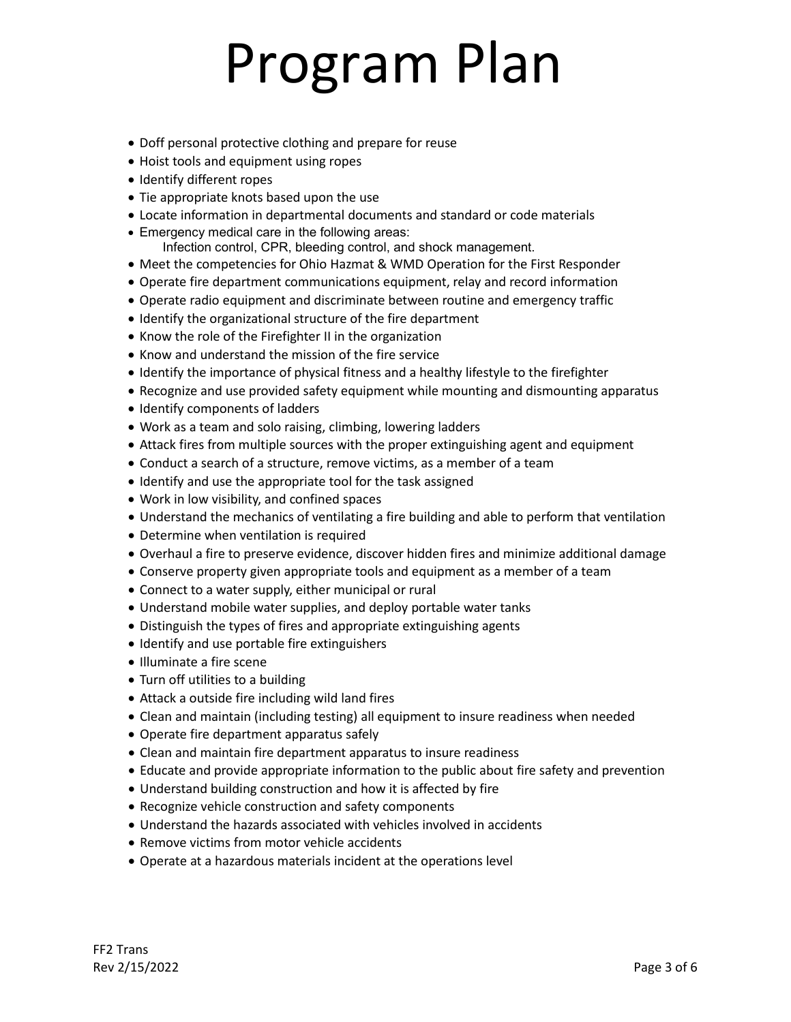- Doff personal protective clothing and prepare for reuse
- Hoist tools and equipment using ropes
- Identify different ropes
- Tie appropriate knots based upon the use
- Locate information in departmental documents and standard or code materials
- Emergency medical care in the following areas:
	- Infection control, CPR, bleeding control, and shock management.
- Meet the competencies for Ohio Hazmat & WMD Operation for the First Responder
- Operate fire department communications equipment, relay and record information
- Operate radio equipment and discriminate between routine and emergency traffic
- Identify the organizational structure of the fire department
- Know the role of the Firefighter II in the organization
- Know and understand the mission of the fire service
- Identify the importance of physical fitness and a healthy lifestyle to the firefighter
- Recognize and use provided safety equipment while mounting and dismounting apparatus
- Identify components of ladders
- Work as a team and solo raising, climbing, lowering ladders
- Attack fires from multiple sources with the proper extinguishing agent and equipment
- Conduct a search of a structure, remove victims, as a member of a team
- Identify and use the appropriate tool for the task assigned
- Work in low visibility, and confined spaces
- Understand the mechanics of ventilating a fire building and able to perform that ventilation
- Determine when ventilation is required
- Overhaul a fire to preserve evidence, discover hidden fires and minimize additional damage
- Conserve property given appropriate tools and equipment as a member of a team
- Connect to a water supply, either municipal or rural
- Understand mobile water supplies, and deploy portable water tanks
- Distinguish the types of fires and appropriate extinguishing agents
- Identify and use portable fire extinguishers
- Illuminate a fire scene
- Turn off utilities to a building
- Attack a outside fire including wild land fires
- Clean and maintain (including testing) all equipment to insure readiness when needed
- Operate fire department apparatus safely
- Clean and maintain fire department apparatus to insure readiness
- Educate and provide appropriate information to the public about fire safety and prevention
- Understand building construction and how it is affected by fire
- Recognize vehicle construction and safety components
- Understand the hazards associated with vehicles involved in accidents
- Remove victims from motor vehicle accidents
- Operate at a hazardous materials incident at the operations level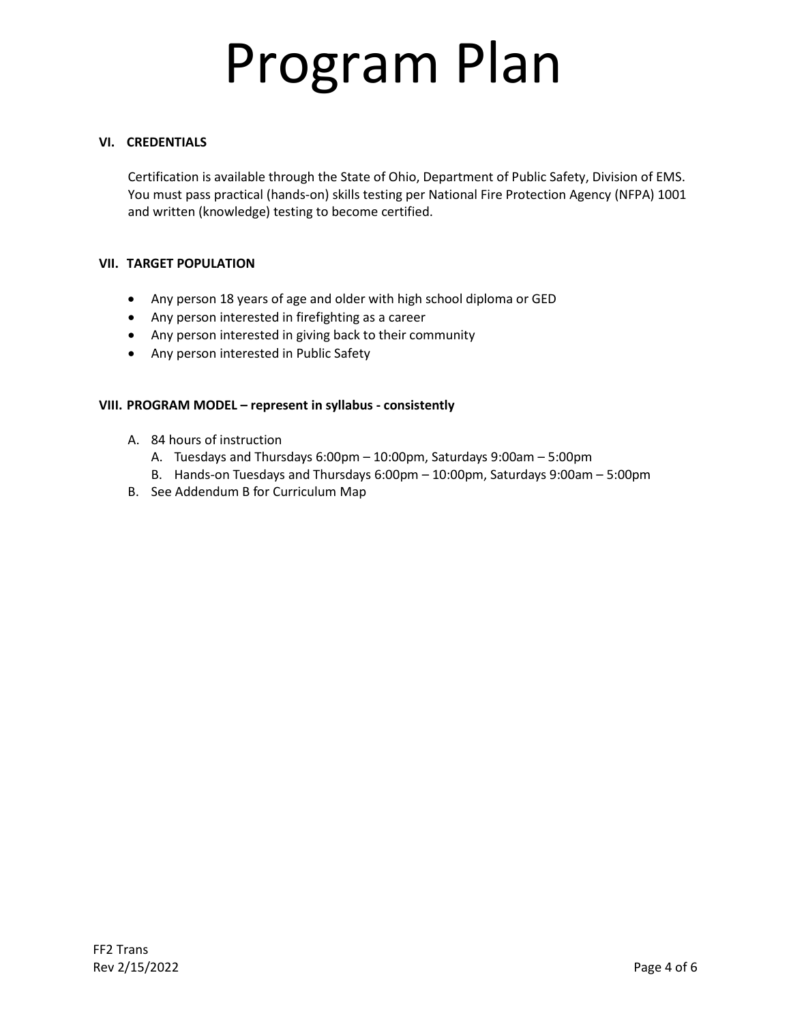### **VI. CREDENTIALS**

Certification is available through the State of Ohio, Department of Public Safety, Division of EMS. You must pass practical (hands-on) skills testing per National Fire Protection Agency (NFPA) 1001 and written (knowledge) testing to become certified.

### **VII. TARGET POPULATION**

- Any person 18 years of age and older with high school diploma or GED
- Any person interested in firefighting as a career
- Any person interested in giving back to their community
- Any person interested in Public Safety

### **VIII. PROGRAM MODEL – represent in syllabus - consistently**

- A. 84 hours of instruction
	- A. Tuesdays and Thursdays 6:00pm 10:00pm, Saturdays 9:00am 5:00pm
	- B. Hands-on Tuesdays and Thursdays 6:00pm 10:00pm, Saturdays 9:00am 5:00pm
- B. See Addendum B for Curriculum Map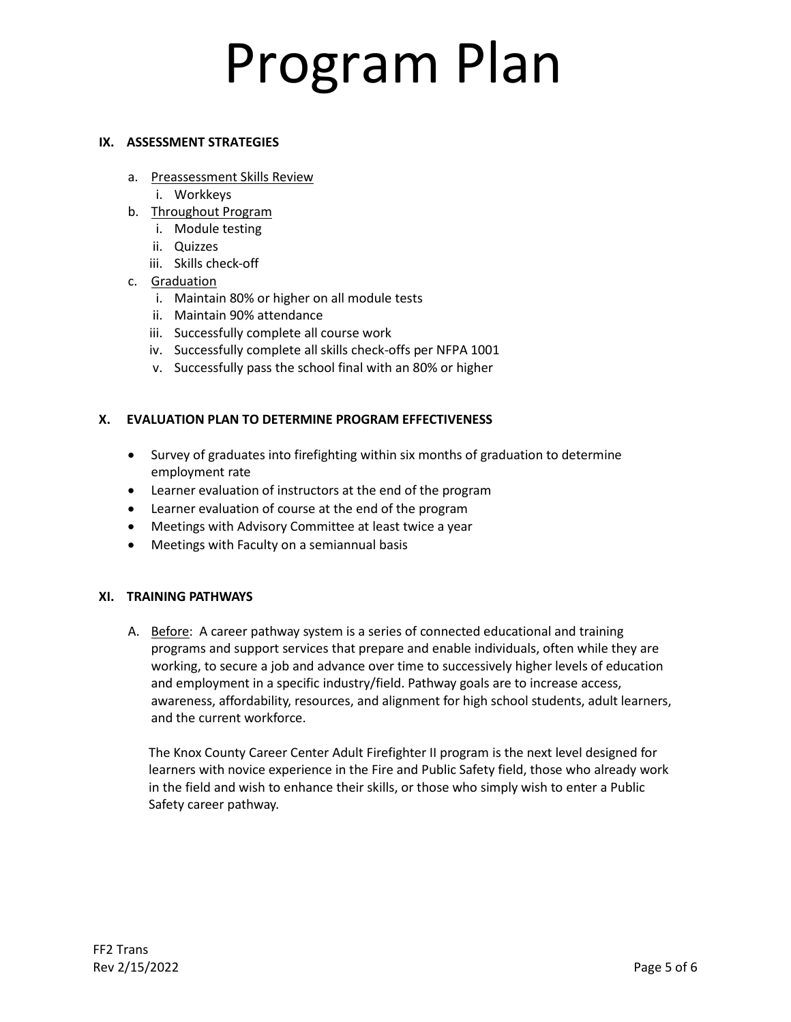### **IX. ASSESSMENT STRATEGIES**

- a. Preassessment Skills Review
	- i. Workkeys
- b. Throughout Program
	- i. Module testing
	- ii. Quizzes
	- iii. Skills check-off
- c. Graduation
	- i. Maintain 80% or higher on all module tests
	- ii. Maintain 90% attendance
	- iii. Successfully complete all course work
	- iv. Successfully complete all skills check-offs per NFPA 1001
	- v. Successfully pass the school final with an 80% or higher

### **X. EVALUATION PLAN TO DETERMINE PROGRAM EFFECTIVENESS**

- Survey of graduates into firefighting within six months of graduation to determine employment rate
- Learner evaluation of instructors at the end of the program
- Learner evaluation of course at the end of the program
- Meetings with Advisory Committee at least twice a year
- Meetings with Faculty on a semiannual basis

### **XI. TRAINING PATHWAYS**

A. Before: A career pathway system is a series of connected educational and training programs and support services that prepare and enable individuals, often while they are working, to secure a job and advance over time to successively higher levels of education and employment in a specific industry/field. Pathway goals are to increase access, awareness, affordability, resources, and alignment for high school students, adult learners, and the current workforce.

The Knox County Career Center Adult Firefighter II program is the next level designed for learners with novice experience in the Fire and Public Safety field, those who already work in the field and wish to enhance their skills, or those who simply wish to enter a Public Safety career pathway.